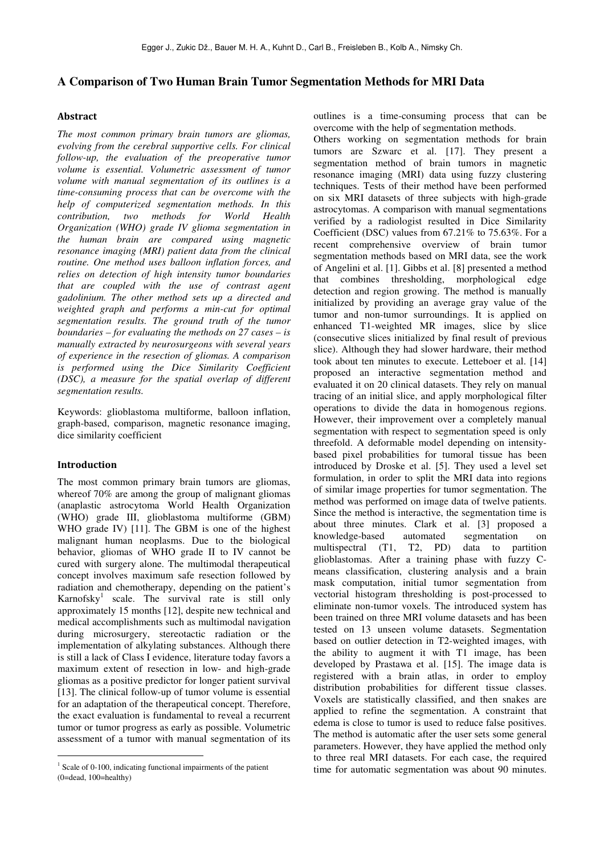# **A Comparison of Two Human Brain Tumor Segmentation Methods for MRI Data**

# **Abstract**

*The most common primary brain tumors are gliomas, evolving from the cerebral supportive cells. For clinical follow-up, the evaluation of the preoperative tumor volume is essential. Volumetric assessment of tumor volume with manual segmentation of its outlines is a time-consuming process that can be overcome with the help of computerized segmentation methods. In this contribution, two methods for World Health Organization (WHO) grade IV glioma segmentation in the human brain are compared using magnetic resonance imaging (MRI) patient data from the clinical routine. One method uses balloon inflation forces, and relies on detection of high intensity tumor boundaries that are coupled with the use of contrast agent gadolinium. The other method sets up a directed and weighted graph and performs a min-cut for optimal segmentation results. The ground truth of the tumor boundaries – for evaluating the methods on 27 cases – is manually extracted by neurosurgeons with several years of experience in the resection of gliomas. A comparison is performed using the Dice Similarity Coefficient (DSC), a measure for the spatial overlap of different segmentation results.* 

Keywords: glioblastoma multiforme, balloon inflation, graph-based, comparison, magnetic resonance imaging, dice similarity coefficient

# **Introduction**

 $\overline{a}$ 

The most common primary brain tumors are gliomas, whereof 70% are among the group of malignant gliomas (anaplastic astrocytoma World Health Organization (WHO) grade III, glioblastoma multiforme (GBM) WHO grade IV) [11]. The GBM is one of the highest malignant human neoplasms. Due to the biological behavior, gliomas of WHO grade II to IV cannot be cured with surgery alone. The multimodal therapeutical concept involves maximum safe resection followed by radiation and chemotherapy, depending on the patient's Karnofsky<sup>1</sup> scale. The survival rate is still only approximately 15 months [12], despite new technical and medical accomplishments such as multimodal navigation during microsurgery, stereotactic radiation or the implementation of alkylating substances. Although there is still a lack of Class I evidence, literature today favors a maximum extent of resection in low- and high-grade gliomas as a positive predictor for longer patient survival [13]. The clinical follow-up of tumor volume is essential for an adaptation of the therapeutical concept. Therefore, the exact evaluation is fundamental to reveal a recurrent tumor or tumor progress as early as possible. Volumetric assessment of a tumor with manual segmentation of its

outlines is a time-consuming process that can be overcome with the help of segmentation methods.

Others working on segmentation methods for brain tumors are Szwarc et al. [17]. They present a segmentation method of brain tumors in magnetic resonance imaging (MRI) data using fuzzy clustering techniques. Tests of their method have been performed on six MRI datasets of three subjects with high-grade astrocytomas. A comparison with manual segmentations verified by a radiologist resulted in Dice Similarity Coefficient (DSC) values from 67.21% to 75.63%. For a recent comprehensive overview of brain tumor segmentation methods based on MRI data, see the work of Angelini et al. [1]. Gibbs et al. [8] presented a method that combines thresholding, morphological edge detection and region growing. The method is manually initialized by providing an average gray value of the tumor and non-tumor surroundings. It is applied on enhanced T1-weighted MR images, slice by slice (consecutive slices initialized by final result of previous slice). Although they had slower hardware, their method took about ten minutes to execute. Letteboer et al. [14] proposed an interactive segmentation method and evaluated it on 20 clinical datasets. They rely on manual tracing of an initial slice, and apply morphological filter operations to divide the data in homogenous regions. However, their improvement over a completely manual segmentation with respect to segmentation speed is only threefold. A deformable model depending on intensitybased pixel probabilities for tumoral tissue has been introduced by Droske et al. [5]. They used a level set formulation, in order to split the MRI data into regions of similar image properties for tumor segmentation. The method was performed on image data of twelve patients. Since the method is interactive, the segmentation time is about three minutes. Clark et al. [3] proposed a knowledge-based automated segmentation on multispectral (T1, T2, PD) data to partition glioblastomas. After a training phase with fuzzy Cmeans classification, clustering analysis and a brain mask computation, initial tumor segmentation from vectorial histogram thresholding is post-processed to eliminate non-tumor voxels. The introduced system has been trained on three MRI volume datasets and has been tested on 13 unseen volume datasets. Segmentation based on outlier detection in T2-weighted images, with the ability to augment it with T1 image, has been developed by Prastawa et al. [15]. The image data is registered with a brain atlas, in order to employ distribution probabilities for different tissue classes. Voxels are statistically classified, and then snakes are applied to refine the segmentation. A constraint that edema is close to tumor is used to reduce false positives. The method is automatic after the user sets some general parameters. However, they have applied the method only to three real MRI datasets. For each case, the required time for automatic segmentation was about 90 minutes.

<sup>&</sup>lt;sup>1</sup> Scale of 0-100, indicating functional impairments of the patient (0=dead, 100=healthy)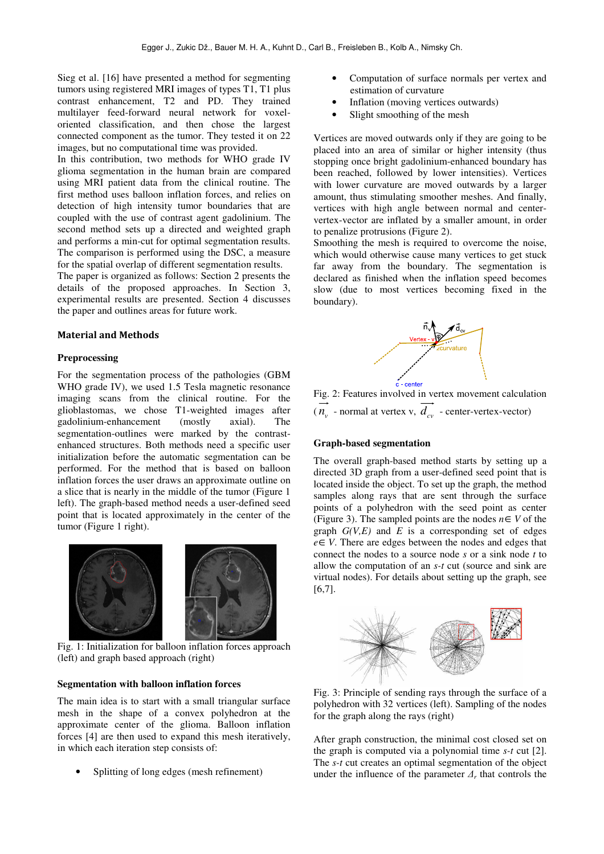Sieg et al. [16] have presented a method for segmenting tumors using registered MRI images of types T1, T1 plus contrast enhancement, T2 and PD. They trained multilayer feed-forward neural network for voxeloriented classification, and then chose the largest connected component as the tumor. They tested it on 22 images, but no computational time was provided.

In this contribution, two methods for WHO grade IV glioma segmentation in the human brain are compared using MRI patient data from the clinical routine. The first method uses balloon inflation forces, and relies on detection of high intensity tumor boundaries that are coupled with the use of contrast agent gadolinium. The second method sets up a directed and weighted graph and performs a min-cut for optimal segmentation results. The comparison is performed using the DSC, a measure for the spatial overlap of different segmentation results.

The paper is organized as follows: Section 2 presents the details of the proposed approaches. In Section 3, experimental results are presented. Section 4 discusses the paper and outlines areas for future work.

#### **Material and Methods**

#### **Preprocessing**

For the segmentation process of the pathologies (GBM WHO grade IV), we used 1.5 Tesla magnetic resonance imaging scans from the clinical routine. For the glioblastomas, we chose T1-weighted images after gadolinium-enhancement (mostly axial). The segmentation-outlines were marked by the contrastenhanced structures. Both methods need a specific user initialization before the automatic segmentation can be performed. For the method that is based on balloon inflation forces the user draws an approximate outline on a slice that is nearly in the middle of the tumor (Figure 1 left). The graph-based method needs a user-defined seed point that is located approximately in the center of the tumor (Figure 1 right).



Fig. 1: Initialization for balloon inflation forces approach (left) and graph based approach (right)

# **Segmentation with balloon inflation forces**

The main idea is to start with a small triangular surface mesh in the shape of a convex polyhedron at the approximate center of the glioma. Balloon inflation forces [4] are then used to expand this mesh iteratively, in which each iteration step consists of:

• Splitting of long edges (mesh refinement)

- Computation of surface normals per vertex and estimation of curvature
- Inflation (moving vertices outwards)
- Slight smoothing of the mesh

Vertices are moved outwards only if they are going to be placed into an area of similar or higher intensity (thus stopping once bright gadolinium-enhanced boundary has been reached, followed by lower intensities). Vertices with lower curvature are moved outwards by a larger amount, thus stimulating smoother meshes. And finally, vertices with high angle between normal and centervertex-vector are inflated by a smaller amount, in order to penalize protrusions (Figure 2).

Smoothing the mesh is required to overcome the noise, which would otherwise cause many vertices to get stuck far away from the boundary. The segmentation is declared as finished when the inflation speed becomes slow (due to most vertices becoming fixed in the boundary).



Fig. 2: Features involved in vertex movement calculation  $(n_v \text{ - normal at vertex } v, d_{cv} \text{ - center-vertex-vector})$ 

#### **Graph-based segmentation**

The overall graph-based method starts by setting up a directed 3D graph from a user-defined seed point that is located inside the object. To set up the graph, the method samples along rays that are sent through the surface points of a polyhedron with the seed point as center (Figure 3). The sampled points are the nodes  $n \in V$  of the graph  $G(V,E)$  and  $E$  is a corresponding set of edges *e*∈*V*. There are edges between the nodes and edges that connect the nodes to a source node *s* or a sink node *t* to allow the computation of an *s-t* cut (source and sink are virtual nodes). For details about setting up the graph, see [6,7].



Fig. 3: Principle of sending rays through the surface of a polyhedron with 32 vertices (left). Sampling of the nodes for the graph along the rays (right)

After graph construction, the minimal cost closed set on the graph is computed via a polynomial time *s-t* cut [2]. The *s-t* cut creates an optimal segmentation of the object under the influence of the parameter  $\Lambda$ <sup>r</sup> that controls the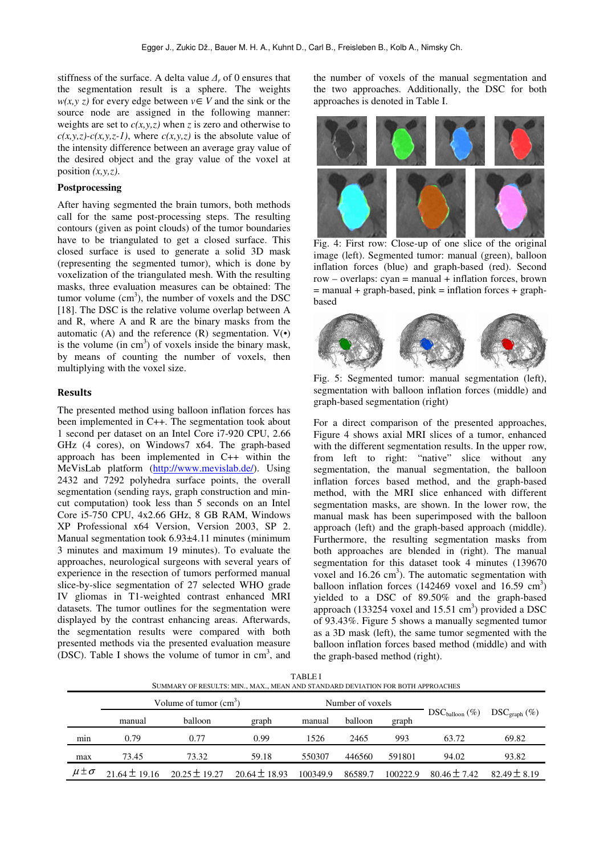stiffness of the surface. A delta value *∆<sup>r</sup>* of 0 ensures that the segmentation result is a sphere. The weights *w*(*x,y z*) for every edge between  $v \in V$  and the sink or the source node are assigned in the following manner: weights are set to  $c(x, y, z)$  when *z* is zero and otherwise to  $c(x,y,z)$ - $c(x,y,z-1)$ , where  $c(x,y,z)$  is the absolute value of the intensity difference between an average gray value of the desired object and the gray value of the voxel at position  $(x, y, z)$ .

## **Postprocessing**

After having segmented the brain tumors, both methods call for the same post-processing steps. The resulting contours (given as point clouds) of the tumor boundaries have to be triangulated to get a closed surface. This closed surface is used to generate a solid 3D mask (representing the segmented tumor), which is done by voxelization of the triangulated mesh. With the resulting masks, three evaluation measures can be obtained: The tumor volume  $(cm<sup>3</sup>)$ , the number of voxels and the DSC [18]. The DSC is the relative volume overlap between A and R, where A and R are the binary masks from the automatic (A) and the reference  $(R)$  segmentation.  $V(\cdot)$ is the volume  $(in cm<sup>3</sup>)$  of voxels inside the binary mask, by means of counting the number of voxels, then multiplying with the voxel size.

# **Results**

The presented method using balloon inflation forces has been implemented in C++. The segmentation took about 1 second per dataset on an Intel Core i7-920 CPU, 2.66 GHz (4 cores), on Windows7 x64. The graph-based approach has been implemented in C++ within the MeVisLab platform (http://www.mevislab.de/). Using 2432 and 7292 polyhedra surface points, the overall segmentation (sending rays, graph construction and mincut computation) took less than 5 seconds on an Intel Core i5-750 CPU, 4x2.66 GHz, 8 GB RAM, Windows XP Professional x64 Version, Version 2003, SP 2. Manual segmentation took 6.93±4.11 minutes (minimum 3 minutes and maximum 19 minutes). To evaluate the approaches, neurological surgeons with several years of experience in the resection of tumors performed manual slice-by-slice segmentation of 27 selected WHO grade IV gliomas in T1-weighted contrast enhanced MRI datasets. The tumor outlines for the segmentation were displayed by the contrast enhancing areas. Afterwards, the segmentation results were compared with both presented methods via the presented evaluation measure (DSC). Table I shows the volume of tumor in  $cm<sup>3</sup>$ , and

the number of voxels of the manual segmentation and the two approaches. Additionally, the DSC for both approaches is denoted in Table I.



Fig. 4: First row: Close-up of one slice of the original image (left). Segmented tumor: manual (green), balloon inflation forces (blue) and graph-based (red). Second  $row - overlaps: cyan = manual + inflation forces, brown$  $=$  manual  $+$  graph-based, pink  $=$  inflation forces  $+$  graphbased



Fig. 5: Segmented tumor: manual segmentation (left), segmentation with balloon inflation forces (middle) and graph-based segmentation (right)

For a direct comparison of the presented approaches, Figure 4 shows axial MRI slices of a tumor, enhanced with the different segmentation results. In the upper row, from left to right: "native" slice without any segmentation, the manual segmentation, the balloon inflation forces based method, and the graph-based method, with the MRI slice enhanced with different segmentation masks, are shown. In the lower row, the manual mask has been superimposed with the balloon approach (left) and the graph-based approach (middle). Furthermore, the resulting segmentation masks from both approaches are blended in (right). The manual segmentation for this dataset took 4 minutes (139670 voxel and  $16.26 \text{ cm}^3$ ). The automatic segmentation with balloon inflation forces  $(142469 \text{ voxel and } 16.59 \text{ cm}^3)$ yielded to a DSC of 89.50% and the graph-based approach (133254 voxel and  $15.51 \text{ cm}^3$ ) provided a DSC of 93.43%. Figure 5 shows a manually segmented tumor as a 3D mask (left), the same tumor segmented with the balloon inflation forces based method (middle) and with the graph-based method (right).

| .<br>SUMMARY OF RESULTS: MIN., MAX., MEAN AND STANDARD DEVIATION FOR BOTH APPROACHES |                         |                   |                   |                  |         |          |                                   |                                            |
|--------------------------------------------------------------------------------------|-------------------------|-------------------|-------------------|------------------|---------|----------|-----------------------------------|--------------------------------------------|
|                                                                                      | Volume of tumor $(cm3)$ |                   |                   | Number of voxels |         |          |                                   |                                            |
|                                                                                      | manual                  | <b>balloon</b>    | graph             | manual           | balloon | graph    | $\text{DSC}_{\text{balloon}}(\%)$ | $\text{DSC}_{\text{graph}}\left(\%\right)$ |
| min                                                                                  | 0.79                    | 0.77              | 0.99              | 1526             | 2465    | 993      | 63.72                             | 69.82                                      |
| max                                                                                  | 73.45                   | 73.32             | 59.18             | 550307           | 446560  | 591801   | 94.02                             | 93.82                                      |
| $\mu \pm \sigma$                                                                     | $21.64 \pm 19.16$       | $20.25 \pm 19.27$ | $20.64 \pm 18.93$ | 100349.9         | 86589.7 | 100222.9 | $80.46 \pm 7.42$                  | $82.49 \pm 8.19$                           |

TABLE I